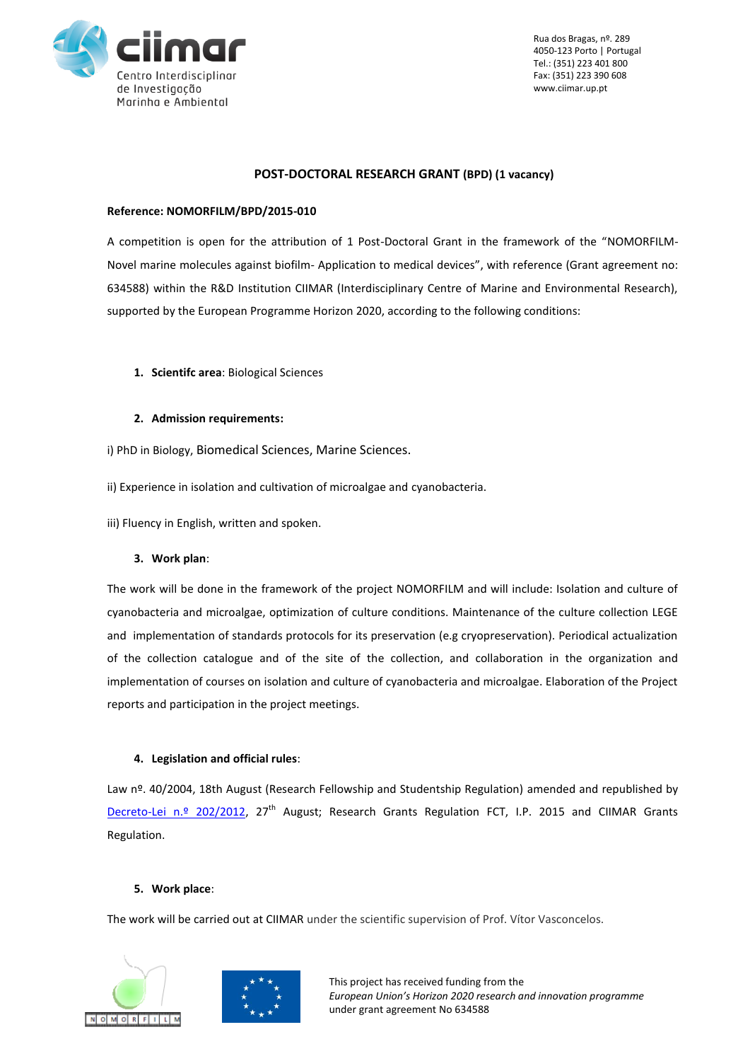

Rua dos Bragas, nº. 289 4050-123 Porto | Portugal Tel.: (351) 223 401 800 Fax: (351) 223 390 608 www.ciimar.up.pt

#### **POST-DOCTORAL RESEARCH GRANT (BPD) (1 vacancy)**

#### **Reference: NOMORFILM/BPD/2015-010**

A competition is open for the attribution of 1 Post-Doctoral Grant in the framework of the "NOMORFILM-Novel marine molecules against biofilm- Application to medical devices", with reference (Grant agreement no: 634588) within the R&D Institution CIIMAR (Interdisciplinary Centre of Marine and Environmental Research), supported by the European Programme Horizon 2020, according to the following conditions:

- **1. Scientifc area**: Biological Sciences
- **2. Admission requirements:**
- i) PhD in Biology, Biomedical Sciences, Marine Sciences.
- ii) Experience in isolation and cultivation of microalgae and cyanobacteria.
- iii) Fluency in English, written and spoken.

## **3. Work plan**:

The work will be done in the framework of the project NOMORFILM and will include: Isolation and culture of cyanobacteria and microalgae, optimization of culture conditions. Maintenance of the culture collection LEGE and implementation of standards protocols for its preservation (e.g cryopreservation). Periodical actualization of the collection catalogue and of the site of the collection, and collaboration in the organization and implementation of courses on isolation and culture of cyanobacteria and microalgae. Elaboration of the Project reports and participation in the project meetings.

## **4. Legislation and official rules**:

Law nº. 40/2004, 18th August (Research Fellowship and Studentship Regulation) amended and republished by [Decreto-Lei n.º 202/2012,](http://dre.pt/pdf1sdip/2012/08/16500/0471704724.pdf) 27<sup>th</sup> August; Research Grants Regulation FCT, I.P. 2015 and CIIMAR Grants Regulation.

# **5. Work place**:

The work will be carried out at CIIMAR under the scientific supervision of Prof. Vítor Vasconcelos.



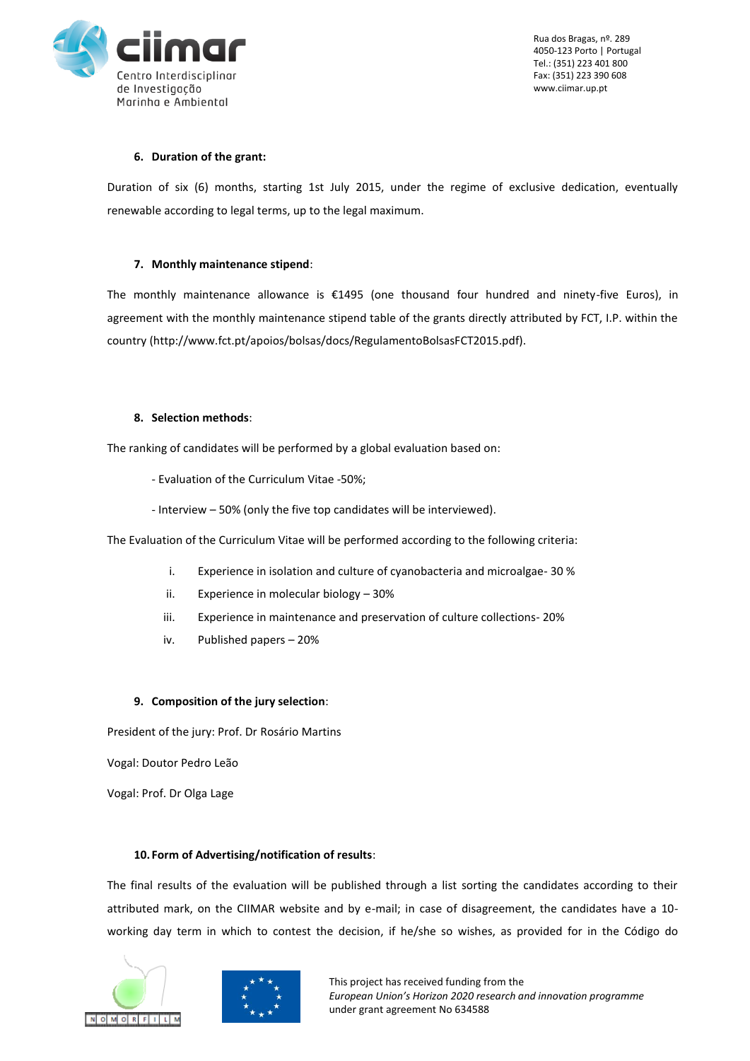

Rua dos Bragas, nº. 289 4050-123 Porto | Portugal Tel.: (351) 223 401 800 Fax: (351) 223 390 608 www.ciimar.up.pt

## **6. Duration of the grant:**

Duration of six (6) months, starting 1st July 2015, under the regime of exclusive dedication, eventually renewable according to legal terms, up to the legal maximum.

# **7. Monthly maintenance stipend**:

The monthly maintenance allowance is €1495 (one thousand four hundred and ninety-five Euros), in agreement with the monthly maintenance stipend table of the grants directly attributed by FCT, I.P. within the country (http://www.fct.pt/apoios/bolsas/docs/RegulamentoBolsasFCT2015.pdf).

## **8. Selection methods**:

The ranking of candidates will be performed by a global evaluation based on:

- Evaluation of the Curriculum Vitae -50%;
- Interview 50% (only the five top candidates will be interviewed).

The Evaluation of the Curriculum Vitae will be performed according to the following criteria:

- i. Experience in isolation and culture of cyanobacteria and microalgae- 30 %
- ii. Experience in molecular biology 30%
- iii. Experience in maintenance and preservation of culture collections- 20%
- iv. Published papers 20%

# **9. Composition of the jury selection**:

President of the jury: Prof. Dr Rosário Martins

Vogal: Doutor Pedro Leão

Vogal: Prof. Dr Olga Lage

# **10. Form of Advertising/notification of results**:

The final results of the evaluation will be published through a list sorting the candidates according to their attributed mark, on the CIIMAR website and by e-mail; in case of disagreement, the candidates have a 10 working day term in which to contest the decision, if he/she so wishes, as provided for in the Código do